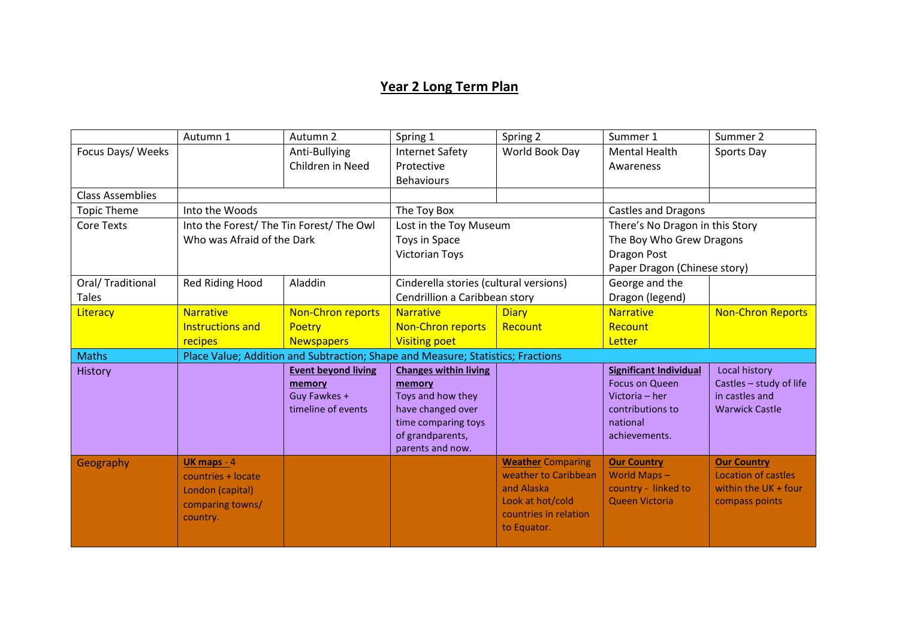## **Year 2 Long Term Plan**

|                         | Autumn 1                                                                        | Autumn 2                   | Spring 1                               | Spring 2                                         | Summer 1                          | Summer 2                                  |  |
|-------------------------|---------------------------------------------------------------------------------|----------------------------|----------------------------------------|--------------------------------------------------|-----------------------------------|-------------------------------------------|--|
| Focus Days/ Weeks       |                                                                                 | Anti-Bullying              | <b>Internet Safety</b>                 | World Book Day                                   | <b>Mental Health</b>              | Sports Day                                |  |
|                         |                                                                                 | Children in Need           | Protective                             |                                                  | Awareness                         |                                           |  |
|                         |                                                                                 |                            | <b>Behaviours</b>                      |                                                  |                                   |                                           |  |
| <b>Class Assemblies</b> |                                                                                 |                            |                                        |                                                  |                                   |                                           |  |
| <b>Topic Theme</b>      | Into the Woods                                                                  |                            | The Toy Box                            |                                                  | <b>Castles and Dragons</b>        |                                           |  |
| <b>Core Texts</b>       | Into the Forest/ The Tin Forest/ The Owl                                        |                            | Lost in the Toy Museum                 |                                                  | There's No Dragon in this Story   |                                           |  |
|                         | Who was Afraid of the Dark                                                      |                            | Toys in Space                          |                                                  | The Boy Who Grew Dragons          |                                           |  |
|                         |                                                                                 |                            | <b>Victorian Toys</b>                  |                                                  | <b>Dragon Post</b>                |                                           |  |
|                         |                                                                                 |                            |                                        |                                                  | Paper Dragon (Chinese story)      |                                           |  |
| Oral/ Traditional       | Red Riding Hood                                                                 | Aladdin                    | Cinderella stories (cultural versions) |                                                  | George and the                    |                                           |  |
| <b>Tales</b>            |                                                                                 |                            | Cendrillion a Caribbean story          |                                                  | Dragon (legend)                   |                                           |  |
| Literacy                | <b>Narrative</b>                                                                | <b>Non-Chron reports</b>   | <b>Narrative</b>                       | <b>Diary</b>                                     | <b>Narrative</b>                  | <b>Non-Chron Reports</b>                  |  |
|                         | <b>Instructions and</b>                                                         | <b>Poetry</b>              | <b>Non-Chron reports</b>               | Recount                                          | Recount                           |                                           |  |
|                         | recipes                                                                         | <b>Newspapers</b>          | <b>Visiting poet</b>                   |                                                  | Letter                            |                                           |  |
| <b>Maths</b>            | Place Value; Addition and Subtraction; Shape and Measure; Statistics; Fractions |                            |                                        |                                                  |                                   |                                           |  |
| <b>History</b>          |                                                                                 | <b>Event beyond living</b> | <b>Changes within living</b>           |                                                  | <b>Significant Individual</b>     | Local history                             |  |
|                         |                                                                                 | memory                     | memory                                 |                                                  | <b>Focus on Queen</b>             | Castles - study of life                   |  |
|                         |                                                                                 | Guy Fawkes +               | Toys and how they                      |                                                  | Victoria - her                    | in castles and                            |  |
|                         |                                                                                 | timeline of events         | have changed over                      |                                                  | contributions to                  | <b>Warwick Castle</b>                     |  |
|                         |                                                                                 |                            | time comparing toys                    |                                                  | national                          |                                           |  |
|                         |                                                                                 |                            | of grandparents,                       |                                                  | achievements.                     |                                           |  |
|                         |                                                                                 |                            | parents and now.                       |                                                  |                                   |                                           |  |
| Geography               | UK maps - 4                                                                     |                            |                                        | <b>Weather Comparing</b><br>weather to Caribbean | <b>Our Country</b><br>World Maps- | <b>Our Country</b><br>Location of castles |  |
|                         | countries + locate                                                              |                            |                                        | and Alaska                                       | country - linked to               | within the UK + four                      |  |
|                         | London (capital)                                                                |                            |                                        | Look at hot/cold                                 | Queen Victoria                    | compass points                            |  |
|                         | comparing towns/                                                                |                            |                                        | countries in relation                            |                                   |                                           |  |
|                         | country.                                                                        |                            |                                        | to Equator.                                      |                                   |                                           |  |
|                         |                                                                                 |                            |                                        |                                                  |                                   |                                           |  |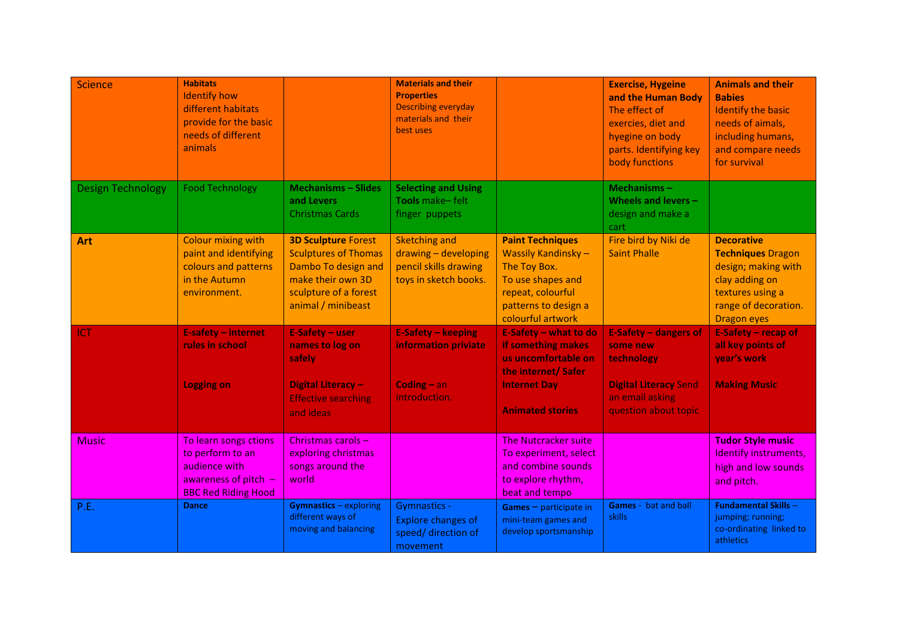| <b>Science</b>           | <b>Habitats</b><br><b>Identify how</b><br>different habitats<br>provide for the basic<br>needs of different<br>animals |                                                                                                                                                      | <b>Materials and their</b><br><b>Properties</b><br><b>Describing everyday</b><br>materials and their<br>best uses |                                                                                                                                                             | <b>Exercise, Hygeine</b><br>and the Human Body<br>The effect of<br>exercies, diet and<br>hyegine on body<br>parts. Identifying key<br>body functions | <b>Animals and their</b><br><b>Babies</b><br><b>Identify the basic</b><br>needs of aimals,<br>including humans,<br>and compare needs<br>for survival     |
|--------------------------|------------------------------------------------------------------------------------------------------------------------|------------------------------------------------------------------------------------------------------------------------------------------------------|-------------------------------------------------------------------------------------------------------------------|-------------------------------------------------------------------------------------------------------------------------------------------------------------|------------------------------------------------------------------------------------------------------------------------------------------------------|----------------------------------------------------------------------------------------------------------------------------------------------------------|
| <b>Design Technology</b> | <b>Food Technology</b>                                                                                                 | <b>Mechanisms - Slides</b><br>and Levers<br><b>Christmas Cards</b>                                                                                   | <b>Selecting and Using</b><br>Tools make-felt<br>finger puppets                                                   |                                                                                                                                                             | Mechanisms $-$<br>Wheels and levers -<br>design and make a<br>cart                                                                                   |                                                                                                                                                          |
| <b>Art</b>               | <b>Colour mixing with</b><br>paint and identifying<br>colours and patterns<br>in the Autumn<br>environment.            | <b>3D Sculpture Forest</b><br><b>Sculptures of Thomas</b><br>Dambo To design and<br>make their own 3D<br>sculpture of a forest<br>animal / minibeast | <b>Sketching and</b><br>drawing - developing<br>pencil skills drawing<br>toys in sketch books.                    | <b>Paint Techniques</b><br><b>Wassily Kandinsky-</b><br>The Toy Box.<br>To use shapes and<br>repeat, colourful<br>patterns to design a<br>colourful artwork | Fire bird by Niki de<br><b>Saint Phalle</b>                                                                                                          | <b>Decorative</b><br><b>Techniques Dragon</b><br>design; making with<br>clay adding on<br>textures using a<br>range of decoration.<br><b>Dragon eyes</b> |
| ICT                      | E-safety - internet<br>rules in school                                                                                 | <b>E-Safety - user</b><br>names to log on<br>safely                                                                                                  | <b>E-Safety - keeping</b><br>information priviate                                                                 | E-Safety - what to do<br>if something makes<br>us uncomfortable on<br>the internet/ Safer                                                                   | <b>E-Safety - dangers of</b><br>some new<br>technology                                                                                               | E-Safety - recap of<br>all key points of<br>year's work                                                                                                  |
|                          | <b>Logging on</b>                                                                                                      | <b>Digital Literacy-</b><br><b>Effective searching</b><br>and ideas                                                                                  | Coding $-$ an<br>introduction.                                                                                    | <b>Internet Day</b><br><b>Animated stories</b>                                                                                                              | <b>Digital Literacy Send</b><br>an email asking<br>question about topic                                                                              | <b>Making Music</b>                                                                                                                                      |
| <b>Music</b>             | To learn songs ctions<br>to perform to an<br>audience with<br>awareness of pitch $-$<br><b>BBC Red Riding Hood</b>     | Christmas carols -<br>exploring christmas<br>songs around the<br>world                                                                               |                                                                                                                   | <b>The Nutcracker suite</b><br>To experiment, select<br>and combine sounds<br>to explore rhythm,<br>beat and tempo                                          |                                                                                                                                                      | <b>Tudor Style music</b><br>Identify instruments,<br>high and low sounds<br>and pitch.                                                                   |
| P.E.                     | <b>Dance</b>                                                                                                           | <b>Gymnastics - exploring</b><br>different ways of<br>moving and balancing                                                                           | <b>Gymnastics -</b><br><b>Explore changes of</b><br>speed/ direction of<br>movement                               | $Games$ – participate in<br>mini-team games and<br>develop sportsmanship                                                                                    | Games - bat and ball<br>skills                                                                                                                       | <b>Fundamental Skills-</b><br>jumping; running;<br>co-ordinating linked to<br>athletics                                                                  |